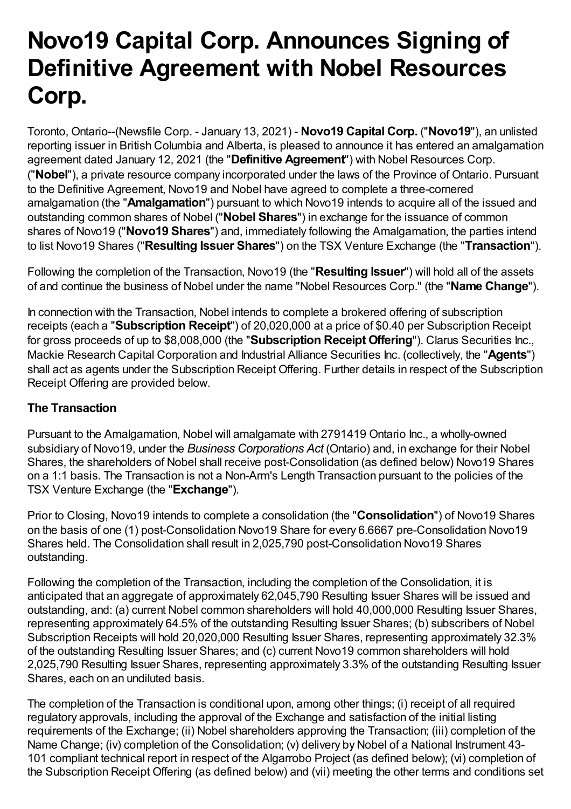# **Novo19 Capital Corp. Announces Signing of Definitive Agreement with Nobel Resources Corp.**

Toronto, Ontario--(Newsfile Corp. - January 13, 2021) - **Novo19 Capital Corp.** ("**Novo19**"), an unlisted reporting issuer in British Columbia and Alberta, is pleased to announce it has entered an amalgamation agreement dated January 12, 2021 (the "**Definitive Agreement**") with Nobel Resources Corp. ("**Nobel**"), a private resource company incorporated under the laws of the Province of Ontario. Pursuant to the Definitive Agreement, Novo19 and Nobel have agreed to complete a three-cornered amalgamation (the "**Amalgamation**") pursuant to which Novo19 intends to acquire all of the issued and outstanding common shares of Nobel ("**Nobel Shares**") in exchange for the issuance of common shares of Novo19 ("**Novo19 Shares**") and, immediately following the Amalgamation, the parties intend to list Novo19 Shares ("**Resulting Issuer Shares**") on the TSX Venture Exchange (the "**Transaction**").

Following the completion of the Transaction, Novo19 (the "**Resulting Issuer**") will hold all of the assets of and continue the business of Nobel under the name "Nobel Resources Corp." (the "**Name Change**").

In connection with the Transaction, Nobel intends to complete a brokered offering of subscription receipts (each a "**Subscription Receipt**") of 20,020,000 at a price of \$0.40 per Subscription Receipt for gross proceeds of up to \$8,008,000 (the "**Subscription Receipt Offering**"). Clarus Securities Inc., Mackie Research Capital Corporation and Industrial Alliance Securities Inc. (collectively, the "**Agents**") shall act as agents under the Subscription Receipt Offering. Further details in respect of the Subscription Receipt Offering are provided below.

#### **The Transaction**

Pursuant to the Amalgamation, Nobel will amalgamate with 2791419 Ontario Inc., a wholly-owned subsidiary of Novo19, under the *Business Corporations Act* (Ontario) and, in exchange for their Nobel Shares, the shareholders of Nobel shall receive post-Consolidation (as defined below) Novo19 Shares on a 1:1 basis. The Transaction is not a Non-Arm's Length Transaction pursuant to the policies of the TSX Venture Exchange (the "**Exchange**").

Prior to Closing, Novo19 intends to complete a consolidation (the "**Consolidation**") of Novo19 Shares on the basis of one (1) post-Consolidation Novo19 Share for every 6.6667 pre-Consolidation Novo19 Shares held. The Consolidation shall result in 2,025,790 post-Consolidation Novo19 Shares outstanding.

Following the completion of the Transaction, including the completion of the Consolidation, it is anticipated that an aggregate of approximately 62,045,790 Resulting Issuer Shares will be issued and outstanding, and: (a) current Nobel common shareholders will hold 40,000,000 Resulting Issuer Shares, representing approximately 64.5% of the outstanding Resulting Issuer Shares; (b) subscribers of Nobel Subscription Receipts will hold 20,020,000 Resulting Issuer Shares, representing approximately 32.3% of the outstanding Resulting Issuer Shares; and (c) current Novo19 common shareholders will hold 2,025,790 Resulting Issuer Shares, representing approximately 3.3% of the outstanding Resulting Issuer Shares, each on an undiluted basis.

The completion of the Transaction is conditional upon, among other things; (i) receipt of all required regulatory approvals, including the approval of the Exchange and satisfaction of the initial listing requirements of the Exchange; (ii) Nobel shareholders approving the Transaction; (iii) completion of the Name Change; (iv) completion of the Consolidation; (v) delivery by Nobel of a National Instrument 43- 101 compliant technical report in respect of the Algarrobo Project (as defined below); (vi) completion of the Subscription Receipt Offering (as defined below) and (vii) meeting the other terms and conditions set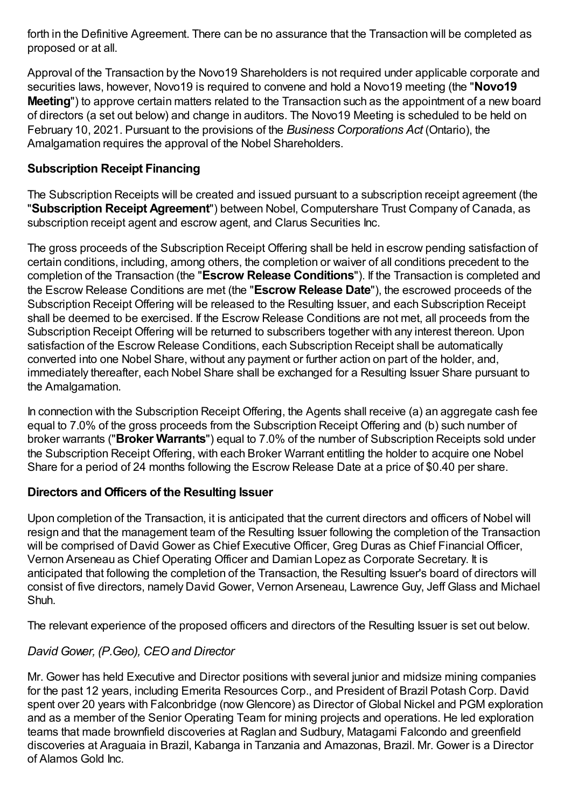forth in the Definitive Agreement. There can be no assurance that the Transaction will be completed as proposed or at all.

Approval of the Transaction by the Novo19 Shareholders is not required under applicable corporate and securities laws, however, Novo19 is required to convene and hold a Novo19 meeting (the "**Novo19 Meeting**") to approve certain matters related to the Transaction such as the appointment of a new board of directors (a set out below) and change in auditors. The Novo19 Meeting is scheduled to be held on February 10, 2021. Pursuant to the provisions of the *Business Corporations Act* (Ontario), the Amalgamation requires the approval of the Nobel Shareholders.

## **Subscription Receipt Financing**

The Subscription Receipts will be created and issued pursuant to a subscription receipt agreement (the "**Subscription Receipt Agreement**") between Nobel, Computershare Trust Company of Canada, as subscription receipt agent and escrow agent, and Clarus Securities Inc.

The gross proceeds of the Subscription Receipt Offering shall be held in escrow pending satisfaction of certain conditions, including, among others, the completion or waiver of all conditions precedent to the completion of the Transaction (the "**Escrow Release Conditions**"). If the Transaction is completed and the Escrow Release Conditions are met (the "**Escrow Release Date**"), the escrowed proceeds of the Subscription Receipt Offering will be released to the Resulting Issuer, and each Subscription Receipt shall be deemed to be exercised. If the Escrow Release Conditions are not met, all proceeds from the Subscription Receipt Offering will be returned to subscribers together with any interest thereon. Upon satisfaction of the Escrow Release Conditions, each Subscription Receipt shall be automatically converted into one Nobel Share, without any payment or further action on part of the holder, and, immediately thereafter, each Nobel Share shall be exchanged for a Resulting Issuer Share pursuant to the Amalgamation.

In connection with the Subscription Receipt Offering, the Agents shall receive (a) an aggregate cash fee equal to 7.0% of the gross proceeds from the Subscription Receipt Offering and (b) such number of broker warrants ("**Broker Warrants**") equal to 7.0% of the number of Subscription Receipts sold under the Subscription Receipt Offering, with each Broker Warrant entitling the holder to acquire one Nobel Share for a period of 24 months following the Escrow Release Date at a price of \$0.40 per share.

#### **Directors and Officers of the Resulting Issuer**

Upon completion of the Transaction, it is anticipated that the current directors and officers of Nobel will resign and that the management team of the Resulting Issuer following the completion of the Transaction will be comprised of David Gower as Chief Executive Officer, Greg Duras as Chief Financial Officer, Vernon Arseneau as Chief Operating Officer and Damian Lopez as Corporate Secretary. It is anticipated that following the completion of the Transaction, the Resulting Issuer's board of directors will consist of five directors, namely David Gower, Vernon Arseneau, Lawrence Guy, Jeff Glass and Michael Shuh.

The relevant experience of the proposed officers and directors of the Resulting Issuer is set out below.

## *David Gower, (P.Geo), CEOand Director*

Mr. Gower has held Executive and Director positions with several junior and midsize mining companies for the past 12 years, including Emerita Resources Corp., and President of Brazil Potash Corp. David spent over 20 years with Falconbridge (now Glencore) as Director of Global Nickel and PGM exploration and as a member of the Senior Operating Team for mining projects and operations. He led exploration teams that made brownfield discoveries at Raglan and Sudbury, Matagami Falcondo and greenfield discoveries at Araguaia in Brazil, Kabanga in Tanzania and Amazonas, Brazil. Mr. Gower is a Director of Alamos Gold Inc.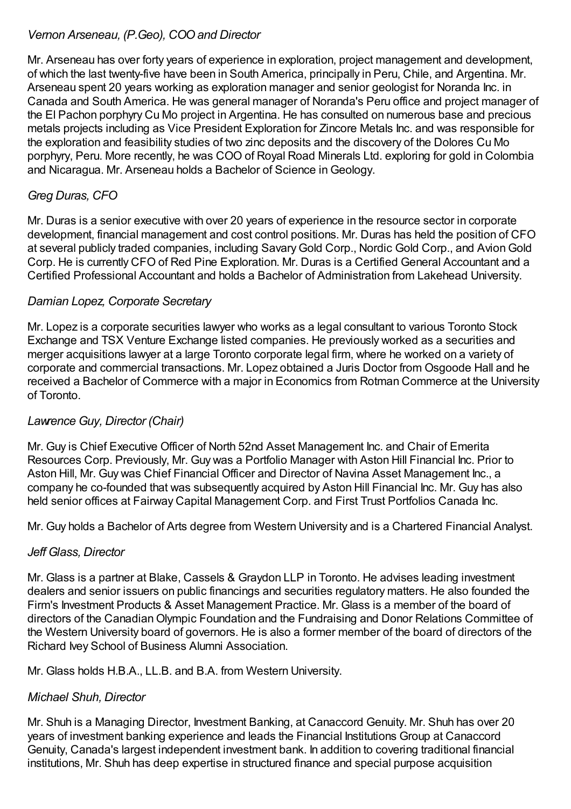## *Vernon Arseneau, (P.Geo), COOand Director*

Mr. Arseneau has over forty years of experience in exploration, project management and development, of which the last twenty-five have been in South America, principally in Peru, Chile, and Argentina. Mr. Arseneau spent 20 years working as exploration manager and senior geologist for Noranda Inc. in Canada and South America. He was general manager of Noranda's Peru office and project manager of the El Pachon porphyry Cu Mo project in Argentina. He has consulted on numerous base and precious metals projects including as Vice President Exploration for Zincore Metals Inc. and was responsible for the exploration and feasibility studies of two zinc deposits and the discovery of the Dolores Cu Mo porphyry, Peru. More recently, he was COO of Royal Road Minerals Ltd. exploring for gold in Colombia and Nicaragua. Mr. Arseneau holds a Bachelor of Science inGeology.

# *Greg Duras, CFO*

Mr. Duras is a senior executive with over 20 years of experience in the resource sector in corporate development, financial management and cost control positions. Mr. Duras has held the position of CFO at several publicly traded companies, including SavaryGold Corp., Nordic Gold Corp., and AvionGold Corp. He is currently CFO of Red Pine Exploration. Mr. Duras is a Certified General Accountant and a Certified Professional Accountant and holds a Bachelor of Administration from Lakehead University.

## *Damian Lopez, Corporate Secretary*

Mr. Lopez is a corporate securities lawyer who works as a legal consultant to various Toronto Stock Exchange and TSX Venture Exchange listed companies. He previously worked as a securities and merger acquisitions lawyer at a large Toronto corporate legal firm, where he worked on a variety of corporate and commercial transactions. Mr. Lopez obtained a Juris Doctor from Osgoode Hall and he received a Bachelor of Commerce with a major in Economics from Rotman Commerce at the University of Toronto.

# *Lawrence Guy, Director (Chair)*

Mr. Guy is Chief Executive Officer of North 52nd Asset Management Inc. and Chair of Emerita Resources Corp. Previously, Mr. Guy was a Portfolio Manager with Aston Hill Financial Inc. Prior to Aston Hill, Mr. Guy was Chief Financial Officer and Director of Navina Asset Management Inc., a company he co-founded that was subsequently acquired by Aston Hill Financial Inc. Mr. Guy has also held senior offices at Fairway Capital Management Corp. and First Trust Portfolios Canada Inc.

Mr. Guy holds a Bachelor of Arts degree from Western University and is a Chartered Financial Analyst.

# *Jeff Glass, Director*

Mr. Glass is a partner at Blake, Cassels & Graydon LLP in Toronto. He advises leading investment dealers and senior issuers on public financings and securities regulatory matters. He also founded the Firm's Investment Products & Asset Management Practice. Mr. Glass is a member of the board of directors of the CanadianOlympic Foundation and the Fundraising and Donor Relations Committee of the Western University board of governors. He is also a former member of the board of directors of the Richard Ivey School of Business Alumni Association.

Mr. Glass holds H.B.A., LL.B. and B.A. from Western University.

# *Michael Shuh, Director*

Mr. Shuh is a Managing Director, Investment Banking, at Canaccord Genuity. Mr. Shuh has over 20 years of investment banking experience and leads the Financial Institutions Group at Canaccord Genuity, Canada's largest independent investment bank. In addition to covering traditional financial institutions, Mr. Shuh has deep expertise in structured finance and special purpose acquisition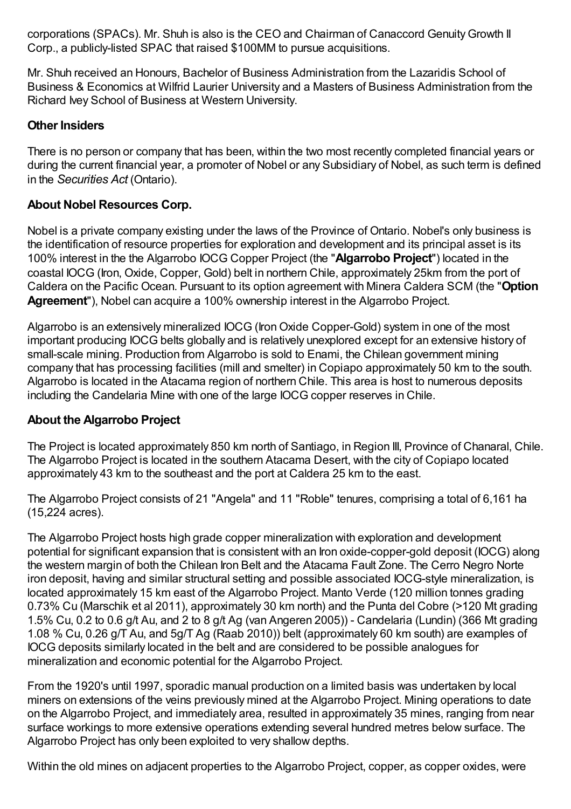corporations (SPACs). Mr. Shuh is also is the CEO and Chairman of Canaccord GenuityGrowth II Corp., a publicly-listed SPAC that raised \$100MM to pursue acquisitions.

Mr. Shuh received an Honours, Bachelor of Business Administration from the Lazaridis School of Business & Economics at Wilfrid Laurier University and a Masters of Business Administration from the Richard Ivey School of Business at Western University.

#### **Other Insiders**

There is no person or company that has been, within the two most recently completed financial years or during the current financial year, a promoter of Nobel or any Subsidiary of Nobel, as such term is defined in the *Securities Act* (Ontario).

## **About Nobel Resources Corp.**

Nobel is a private company existing under the laws of the Province of Ontario. Nobel's only business is the identification of resource properties for exploration and development and its principal asset is its 100% interest in the the Algarrobo IOCG Copper Project (the "**Algarrobo Project**") located in the coastal IOCG (Iron, Oxide, Copper, Gold) belt in northern Chile, approximately 25km from the port of Caldera on the Pacific Ocean. Pursuant to its option agreement with Minera Caldera SCM (the "**Option Agreement**"), Nobel can acquire a 100% ownership interest in the Algarrobo Project.

Algarrobo is an extensively mineralized IOCG (IronOxide Copper-Gold) system in one of the most important producing IOCG belts globally and is relatively unexplored except for an extensive history of small-scale mining. Production from Algarrobo is sold to Enami, the Chilean government mining company that has processing facilities (mill and smelter) in Copiapo approximately 50 km to the south. Algarrobo is located in the Atacama region of northern Chile. This area is host to numerous deposits including the Candelaria Mine with one of the large IOCG copper reserves in Chile.

## **About the Algarrobo Project**

The Project is located approximately 850 km north of Santiago, in Region III, Province of Chanaral, Chile. The Algarrobo Project is located in the southern Atacama Desert, with the city of Copiapo located approximately 43 km to the southeast and the port at Caldera 25 km to the east.

The Algarrobo Project consists of 21 "Angela" and 11 "Roble" tenures, comprising a total of 6,161 ha (15,224 acres).

The Algarrobo Project hosts high grade copper mineralization with exploration and development potential for significant expansion that is consistent with an Iron oxide-copper-gold deposit (IOCG) along the western margin of both the Chilean Iron Belt and the Atacama Fault Zone. The Cerro Negro Norte iron deposit, having and similar structural setting and possible associated IOCG-style mineralization, is located approximately 15 km east of the Algarrobo Project. Manto Verde (120 million tonnes grading 0.73% Cu (Marschik et al 2011), approximately 30 km north) and the Punta del Cobre (>120 Mt grading 1.5% Cu, 0.2 to 0.6 g/t Au, and 2 to 8 g/t Ag (van Angeren 2005)) - Candelaria (Lundin) (366 Mt grading 1.08 % Cu, 0.26 g/T Au, and 5g/T Ag (Raab 2010)) belt (approximately 60 km south) are examples of IOCG deposits similarly located in the belt and are considered to be possible analogues for mineralization and economic potential for the Algarrobo Project.

From the 1920's until 1997, sporadic manual production on a limited basis was undertaken by local miners on extensions of the veins previously mined at the Algarrobo Project. Mining operations to date on the Algarrobo Project, and immediately area, resulted in approximately 35 mines, ranging from near surface workings to more extensive operations extending several hundred metres below surface. The Algarrobo Project has only been exploited to very shallow depths.

Within the old mines on adjacent properties to the Algarrobo Project, copper, as copper oxides, were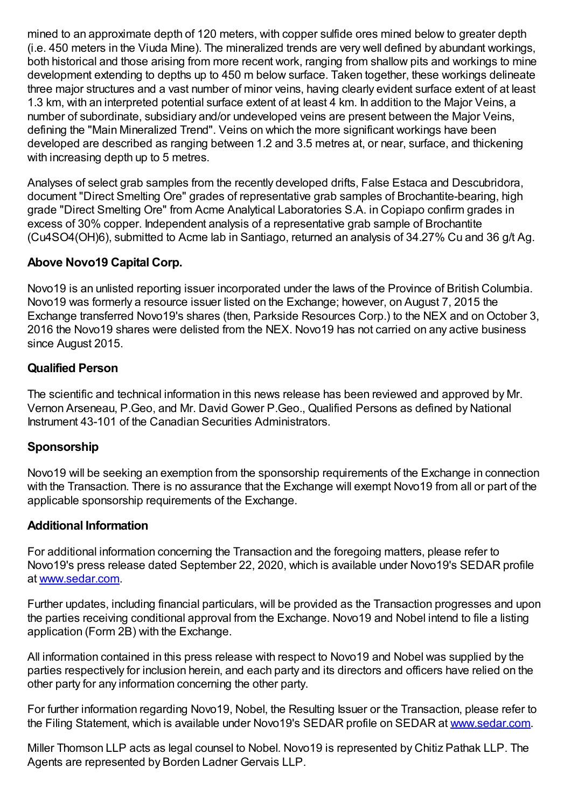mined to an approximate depth of 120 meters, with copper sulfide ores mined below to greater depth (i.e. 450 meters in the Viuda Mine). The mineralized trends are very well defined by abundant workings, both historical and those arising from more recent work, ranging from shallow pits and workings to mine development extending to depths up to 450 m below surface. Taken together, these workings delineate three major structures and a vast number of minor veins, having clearly evident surface extent of at least 1.3 km, with an interpreted potential surface extent of at least 4 km. In addition to the Major Veins, a number of subordinate, subsidiary and/or undeveloped veins are present between the Major Veins, defining the "Main Mineralized Trend". Veins on which the more significant workings have been developed are described as ranging between 1.2 and 3.5 metres at, or near, surface, and thickening with increasing depth up to 5 metres.

Analyses of select grab samples from the recently developed drifts, False Estaca and Descubridora, document "Direct Smelting Ore" grades of representative grab samples of Brochantite-bearing, high grade "Direct Smelting Ore" from Acme Analytical Laboratories S.A. in Copiapo confirm grades in excess of 30% copper. Independent analysis of a representative grab sample of Brochantite (Cu4SO4(OH)6), submitted to Acme lab in Santiago, returned an analysis of 34.27% Cu and 36 g/t Ag.

#### **Above Novo19 Capital Corp.**

Novo19 is an unlisted reporting issuer incorporated under the laws of the Province of British Columbia. Novo19 was formerly a resource issuer listed on the Exchange; however, on August 7, 2015 the Exchange transferred Novo19's shares (then, Parkside Resources Corp.) to the NEX and on October 3, 2016 the Novo19 shares were delisted from the NEX. Novo19 has not carried on any active business since August 2015.

#### **Qualified Person**

The scientific and technical information in this news release has been reviewed and approved by Mr. Vernon Arseneau, P.Geo, and Mr. David Gower P.Geo., Qualified Persons as defined by National Instrument 43-101 of the Canadian Securities Administrators.

#### **Sponsorship**

Novo19 will be seeking an exemption from the sponsorship requirements of the Exchange in connection with the Transaction. There is no assurance that the Exchange will exempt Novo19 from all or part of the applicable sponsorship requirements of the Exchange.

#### **Additional Information**

For additional information concerning the Transaction and the foregoing matters, please refer to Novo19's press release dated September 22, 2020, which is available under Novo19's SEDAR profile at [www.sedar.com](https://www.newsfilecorp.com/redirect/Wwq3hBQnb).

Further updates, including financial particulars, will be provided as the Transaction progresses and upon the parties receiving conditional approval from the Exchange. Novo19 and Nobel intend to file a listing application (Form 2B) with the Exchange.

All information contained in this press release with respect to Novo19 and Nobel was supplied by the parties respectively for inclusion herein, and each party and its directors and officers have relied on the other party for any information concerning the other party.

For further information regarding Novo19, Nobel, the Resulting Issuer or the Transaction, please refer to the Filing Statement, which is available under Novo19's SEDAR profile on SEDAR at [www.sedar.com.](https://www.newsfilecorp.com/redirect/YpQVupkx1)

Miller Thomson LLP acts as legal counsel to Nobel. Novo19 is represented by Chitiz Pathak LLP. The Agents are represented by Borden Ladner Gervais LLP.